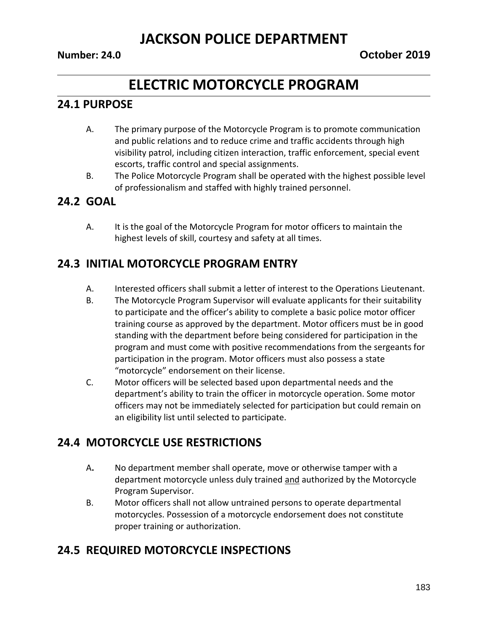# **ELECTRIC MOTORCYCLE PROGRAM**

#### **24.1 PURPOSE**

- A. The primary purpose of the Motorcycle Program is to promote communication and public relations and to reduce crime and traffic accidents through high visibility patrol, including citizen interaction, traffic enforcement, special event escorts, traffic control and special assignments.
- B. The Police Motorcycle Program shall be operated with the highest possible level of professionalism and staffed with highly trained personnel.

#### **24.2 GOAL**

A. It is the goal of the Motorcycle Program for motor officers to maintain the highest levels of skill, courtesy and safety at all times.

### **24.3 INITIAL MOTORCYCLE PROGRAM ENTRY**

- A. Interested officers shall submit a letter of interest to the Operations Lieutenant.
- B. The Motorcycle Program Supervisor will evaluate applicants for their suitability to participate and the officer's ability to complete a basic police motor officer training course as approved by the department. Motor officers must be in good standing with the department before being considered for participation in the program and must come with positive recommendations from the sergeants for participation in the program. Motor officers must also possess a state "motorcycle" endorsement on their license.
- C. Motor officers will be selected based upon departmental needs and the department's ability to train the officer in motorcycle operation. Some motor officers may not be immediately selected for participation but could remain on an eligibility list until selected to participate.

#### **24.4 MOTORCYCLE USE RESTRICTIONS**

- A**.** No department member shall operate, move or otherwise tamper with a department motorcycle unless duly trained and authorized by the Motorcycle Program Supervisor.
- B. Motor officers shall not allow untrained persons to operate departmental motorcycles. Possession of a motorcycle endorsement does not constitute proper training or authorization.

#### **24.5 REQUIRED MOTORCYCLE INSPECTIONS**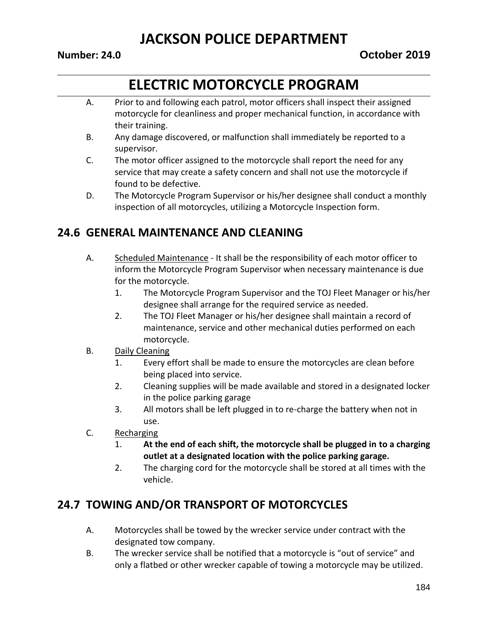# **ELECTRIC MOTORCYCLE PROGRAM**

- A. Prior to and following each patrol, motor officers shall inspect their assigned motorcycle for cleanliness and proper mechanical function, in accordance with their training.
- B. Any damage discovered, or malfunction shall immediately be reported to a supervisor.
- C. The motor officer assigned to the motorcycle shall report the need for any service that may create a safety concern and shall not use the motorcycle if found to be defective.
- D. The Motorcycle Program Supervisor or his/her designee shall conduct a monthly inspection of all motorcycles, utilizing a Motorcycle Inspection form.

### **24.6 GENERAL MAINTENANCE AND CLEANING**

- A. Scheduled Maintenance It shall be the responsibility of each motor officer to inform the Motorcycle Program Supervisor when necessary maintenance is due for the motorcycle.
	- 1. The Motorcycle Program Supervisor and the TOJ Fleet Manager or his/her designee shall arrange for the required service as needed.
	- 2. The TOJ Fleet Manager or his/her designee shall maintain a record of maintenance, service and other mechanical duties performed on each motorcycle.
- B. Daily Cleaning
	- 1. Every effort shall be made to ensure the motorcycles are clean before being placed into service.
	- 2. Cleaning supplies will be made available and stored in a designated locker in the police parking garage
	- 3. All motors shall be left plugged in to re-charge the battery when not in use.
- C. Recharging
	- 1. **At the end of each shift, the motorcycle shall be plugged in to a charging outlet at a designated location with the police parking garage.**
	- 2. The charging cord for the motorcycle shall be stored at all times with the vehicle.

### **24.7 TOWING AND/OR TRANSPORT OF MOTORCYCLES**

- A. Motorcycles shall be towed by the wrecker service under contract with the designated tow company.
- B. The wrecker service shall be notified that a motorcycle is "out of service" and only a flatbed or other wrecker capable of towing a motorcycle may be utilized.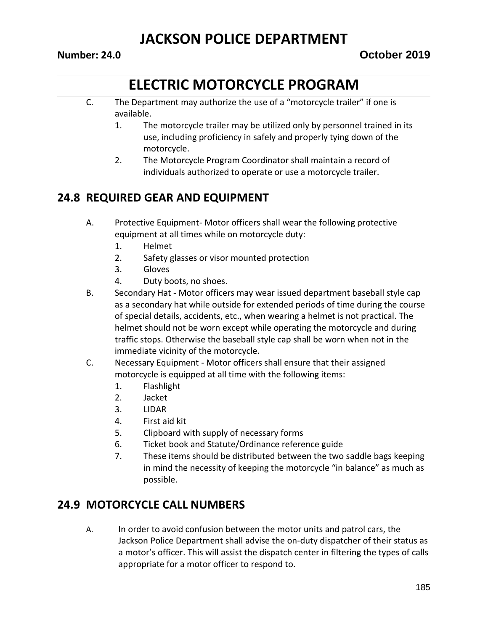# **ELECTRIC MOTORCYCLE PROGRAM**

- C. The Department may authorize the use of a "motorcycle trailer" if one is available.
	- 1. The motorcycle trailer may be utilized only by personnel trained in its use, including proficiency in safely and properly tying down of the motorcycle.
	- 2. The Motorcycle Program Coordinator shall maintain a record of individuals authorized to operate or use a motorcycle trailer.

### **24.8 REQUIRED GEAR AND EQUIPMENT**

- A. Protective Equipment- Motor officers shall wear the following protective equipment at all times while on motorcycle duty:
	- 1. Helmet
	- 2. Safety glasses or visor mounted protection
	- 3. Gloves
	- 4. Duty boots, no shoes.
- B. Secondary Hat Motor officers may wear issued department baseball style cap as a secondary hat while outside for extended periods of time during the course of special details, accidents, etc., when wearing a helmet is not practical. The helmet should not be worn except while operating the motorcycle and during traffic stops. Otherwise the baseball style cap shall be worn when not in the immediate vicinity of the motorcycle.
- C. Necessary Equipment Motor officers shall ensure that their assigned motorcycle is equipped at all time with the following items:
	- 1. Flashlight
	- 2. Jacket
	- 3. LIDAR
	- 4. First aid kit
	- 5. Clipboard with supply of necessary forms
	- 6. Ticket book and Statute/Ordinance reference guide
	- 7. These items should be distributed between the two saddle bags keeping in mind the necessity of keeping the motorcycle "in balance" as much as possible.

### **24.9 MOTORCYCLE CALL NUMBERS**

A. In order to avoid confusion between the motor units and patrol cars, the Jackson Police Department shall advise the on-duty dispatcher of their status as a motor's officer. This will assist the dispatch center in filtering the types of calls appropriate for a motor officer to respond to.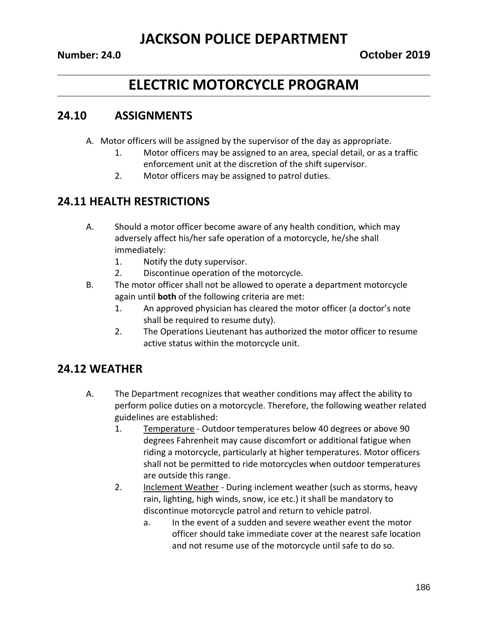# **ELECTRIC MOTORCYCLE PROGRAM**

#### **24.10 ASSIGNMENTS**

- A. Motor officers will be assigned by the supervisor of the day as appropriate.
	- 1. Motor officers may be assigned to an area, special detail, or as a traffic enforcement unit at the discretion of the shift supervisor.
	- 2. Motor officers may be assigned to patrol duties.

#### **24.11 HEALTH RESTRICTIONS**

- A. Should a motor officer become aware of any health condition, which may adversely affect his/her safe operation of a motorcycle, he/she shall immediately:
	- 1. Notify the duty supervisor.
	- 2. Discontinue operation of the motorcycle.
- B. The motor officer shall not be allowed to operate a department motorcycle again until **both** of the following criteria are met:
	- 1. An approved physician has cleared the motor officer (a doctor's note shall be required to resume duty).
	- 2. The Operations Lieutenant has authorized the motor officer to resume active status within the motorcycle unit.

### **24.12 WEATHER**

- A. The Department recognizes that weather conditions may affect the ability to perform police duties on a motorcycle. Therefore, the following weather related guidelines are established:
	- 1. Temperature Outdoor temperatures below 40 degrees or above 90 degrees Fahrenheit may cause discomfort or additional fatigue when riding a motorcycle, particularly at higher temperatures. Motor officers shall not be permitted to ride motorcycles when outdoor temperatures are outside this range.
	- 2. Inclement Weather During inclement weather (such as storms, heavy rain, lighting, high winds, snow, ice etc.) it shall be mandatory to discontinue motorcycle patrol and return to vehicle patrol.
		- a. In the event of a sudden and severe weather event the motor officer should take immediate cover at the nearest safe location and not resume use of the motorcycle until safe to do so.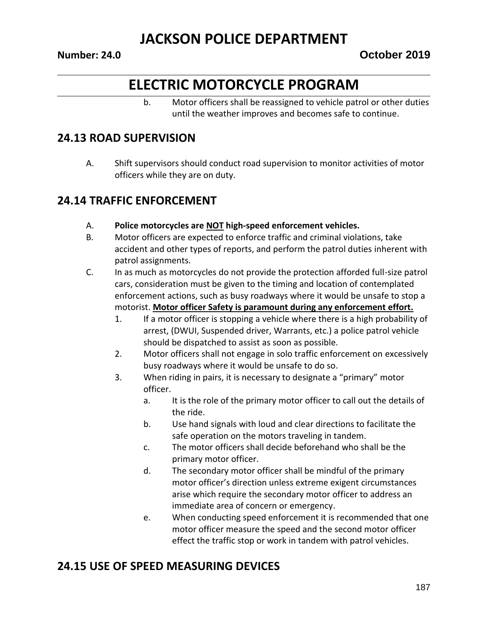# **ELECTRIC MOTORCYCLE PROGRAM**

b. Motor officers shall be reassigned to vehicle patrol or other duties until the weather improves and becomes safe to continue.

#### **24.13 ROAD SUPERVISION**

A. Shift supervisors should conduct road supervision to monitor activities of motor officers while they are on duty.

#### **24.14 TRAFFIC ENFORCEMENT**

- A. **Police motorcycles are NOT high-speed enforcement vehicles.**
- B. Motor officers are expected to enforce traffic and criminal violations, take accident and other types of reports, and perform the patrol duties inherent with patrol assignments.
- C. In as much as motorcycles do not provide the protection afforded full-size patrol cars, consideration must be given to the timing and location of contemplated enforcement actions, such as busy roadways where it would be unsafe to stop a motorist. **Motor officer Safety is paramount during any enforcement effort.**
	- 1. If a motor officer is stopping a vehicle where there is a high probability of arrest, (DWUI, Suspended driver, Warrants, etc.) a police patrol vehicle should be dispatched to assist as soon as possible.
	- 2. Motor officers shall not engage in solo traffic enforcement on excessively busy roadways where it would be unsafe to do so.
	- 3. When riding in pairs, it is necessary to designate a "primary" motor officer.
		- a. It is the role of the primary motor officer to call out the details of the ride.
		- b. Use hand signals with loud and clear directions to facilitate the safe operation on the motors traveling in tandem.
		- c. The motor officers shall decide beforehand who shall be the primary motor officer.
		- d. The secondary motor officer shall be mindful of the primary motor officer's direction unless extreme exigent circumstances arise which require the secondary motor officer to address an immediate area of concern or emergency.
		- e. When conducting speed enforcement it is recommended that one motor officer measure the speed and the second motor officer effect the traffic stop or work in tandem with patrol vehicles.

#### **24.15 USE OF SPEED MEASURING DEVICES**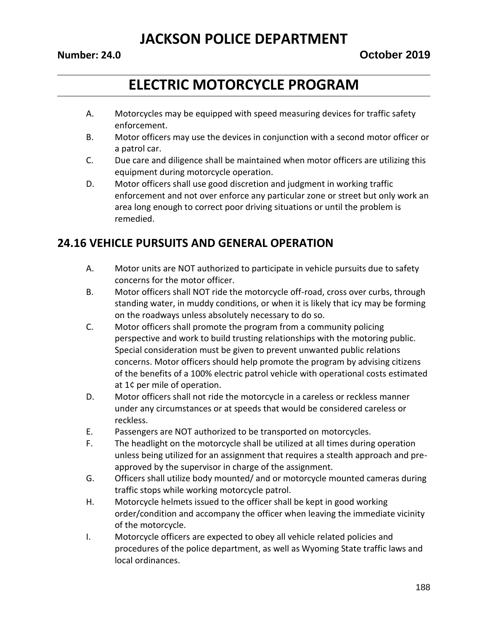# **ELECTRIC MOTORCYCLE PROGRAM**

- A. Motorcycles may be equipped with speed measuring devices for traffic safety enforcement.
- B. Motor officers may use the devices in conjunction with a second motor officer or a patrol car.
- C. Due care and diligence shall be maintained when motor officers are utilizing this equipment during motorcycle operation.
- D. Motor officers shall use good discretion and judgment in working traffic enforcement and not over enforce any particular zone or street but only work an area long enough to correct poor driving situations or until the problem is remedied.

### **24.16 VEHICLE PURSUITS AND GENERAL OPERATION**

- A. Motor units are NOT authorized to participate in vehicle pursuits due to safety concerns for the motor officer.
- B. Motor officers shall NOT ride the motorcycle off-road, cross over curbs, through standing water, in muddy conditions, or when it is likely that icy may be forming on the roadways unless absolutely necessary to do so.
- C. Motor officers shall promote the program from a community policing perspective and work to build trusting relationships with the motoring public. Special consideration must be given to prevent unwanted public relations concerns. Motor officers should help promote the program by advising citizens of the benefits of a 100% electric patrol vehicle with operational costs estimated at 1¢ per mile of operation.
- D. Motor officers shall not ride the motorcycle in a careless or reckless manner under any circumstances or at speeds that would be considered careless or reckless.
- E. Passengers are NOT authorized to be transported on motorcycles.
- F. The headlight on the motorcycle shall be utilized at all times during operation unless being utilized for an assignment that requires a stealth approach and preapproved by the supervisor in charge of the assignment.
- G. Officers shall utilize body mounted/ and or motorcycle mounted cameras during traffic stops while working motorcycle patrol.
- H. Motorcycle helmets issued to the officer shall be kept in good working order/condition and accompany the officer when leaving the immediate vicinity of the motorcycle.
- I. Motorcycle officers are expected to obey all vehicle related policies and procedures of the police department, as well as Wyoming State traffic laws and local ordinances.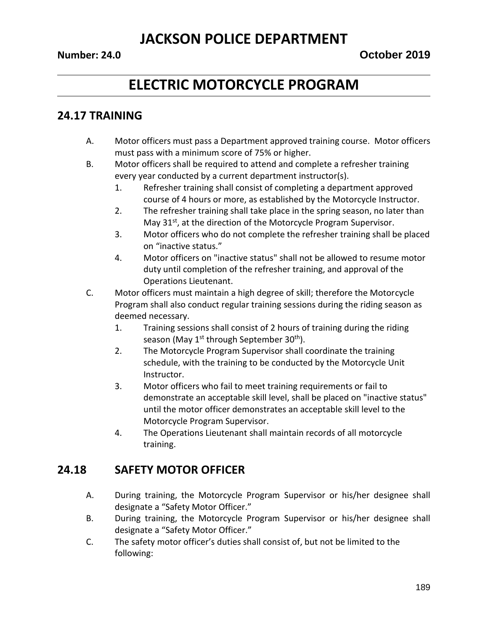# **ELECTRIC MOTORCYCLE PROGRAM**

#### **24.17 TRAINING**

- A. Motor officers must pass a Department approved training course. Motor officers must pass with a minimum score of 75% or higher.
- B. Motor officers shall be required to attend and complete a refresher training every year conducted by a current department instructor(s).
	- 1. Refresher training shall consist of completing a department approved course of 4 hours or more, as established by the Motorcycle Instructor.
	- 2. The refresher training shall take place in the spring season, no later than May 31<sup>st</sup>, at the direction of the Motorcycle Program Supervisor.
	- 3. Motor officers who do not complete the refresher training shall be placed on "inactive status."
	- 4. Motor officers on "inactive status" shall not be allowed to resume motor duty until completion of the refresher training, and approval of the Operations Lieutenant.
- C. Motor officers must maintain a high degree of skill; therefore the Motorcycle Program shall also conduct regular training sessions during the riding season as deemed necessary.
	- 1. Training sessions shall consist of 2 hours of training during the riding season (May 1<sup>st</sup> through September 30<sup>th</sup>).
	- 2. The Motorcycle Program Supervisor shall coordinate the training schedule, with the training to be conducted by the Motorcycle Unit Instructor.
	- 3. Motor officers who fail to meet training requirements or fail to demonstrate an acceptable skill level, shall be placed on "inactive status" until the motor officer demonstrates an acceptable skill level to the Motorcycle Program Supervisor.
	- 4. The Operations Lieutenant shall maintain records of all motorcycle training.

#### **24.18 SAFETY MOTOR OFFICER**

- A. During training, the Motorcycle Program Supervisor or his/her designee shall designate a "Safety Motor Officer."
- B. During training, the Motorcycle Program Supervisor or his/her designee shall designate a "Safety Motor Officer."
- C. The safety motor officer's duties shall consist of, but not be limited to the following: